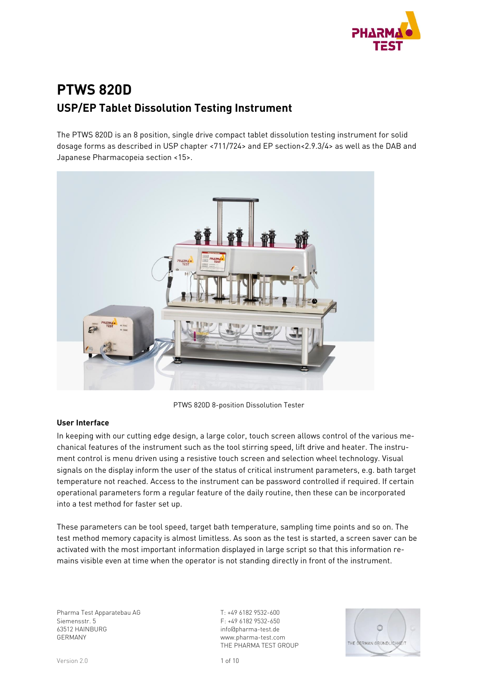

# **PTWS 820D USP/EP Tablet Dissolution Testing Instrument**

The PTWS 820D is an 8 position, single drive compact tablet dissolution testing instrument for solid dosage forms as described in USP chapter <711/724> and EP section<2.9.3/4> as well as the DAB and Japanese Pharmacopeia section <15>.



PTWS 820D 8-position Dissolution Tester

#### **User Interface**

In keeping with our cutting edge design, a large color, touch screen allows control of the various mechanical features of the instrument such as the tool stirring speed, lift drive and heater. The instrument control is menu driven using a resistive touch screen and selection wheel technology. Visual signals on the display inform the user of the status of critical instrument parameters, e.g. bath target temperature not reached. Access to the instrument can be password controlled if required. If certain operational parameters form a regular feature of the daily routine, then these can be incorporated into a test method for faster set up.

These parameters can be tool speed, target bath temperature, sampling time points and so on. The test method memory capacity is almost limitless. As soon as the test is started, a screen saver can be activated with the most important information displayed in large script so that this information remains visible even at time when the operator is not standing directly in front of the instrument.

Pharma Test Apparatebau AG Siemensstr. 5 63512 HAINBURG GERMANY

T: +49 6182 9532-600 F: +49 6182 9532-650 info@pharma-test.de www.pharma-test.com THE PHARMA TEST GROUP

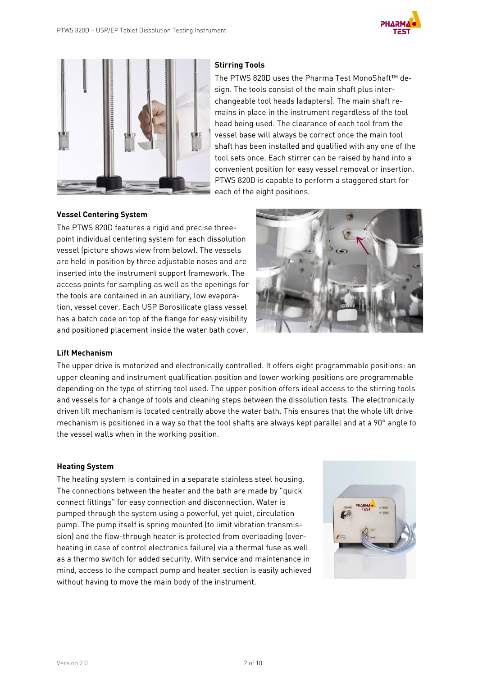



#### **Stirring Tools**

The PTWS 820D uses the Pharma Test MonoShaft™ design. The tools consist of the main shaft plus interchangeable tool heads (adapters). The main shaft remains in place in the instrument regardless of the tool head being used. The clearance of each tool from the vessel base will always be correct once the main tool shaft has been installed and qualified with any one of the tool sets once. Each stirrer can be raised by hand into a convenient position for easy vessel removal or insertion. PTWS 820D is capable to perform a staggered start for each of the eight positions.

#### **Vessel Centering System**

The PTWS 820D features a rigid and precise threepoint individual centering system for each dissolution vessel (picture shows view from below). The vessels are held in position by three adjustable noses and are inserted into the instrument support framework. The access points for sampling as well as the openings for the tools are contained in an auxiliary, low evaporation, vessel cover. Each USP Borosilicate glass vessel has a batch code on top of the flange for easy visibility and positioned placement inside the water bath cover.



#### **Lift Mechanism**

The upper drive is motorized and electronically controlled. It offers eight programmable positions: an upper cleaning and instrument qualification position and lower working positions are programmable depending on the type of stirring tool used. The upper position offers ideal access to the stirring tools and vessels for a change of tools and cleaning steps between the dissolution tests. The electronically driven lift mechanism is located centrally above the water bath. This ensures that the whole lift drive mechanism is positioned in a way so that the tool shafts are always kept parallel and at a 90° angle to the vessel walls when in the working position.

#### **Heating System**

The heating system is contained in a separate stainless steel housing. The connections between the heater and the bath are made by "quick connect fittings" for easy connection and disconnection. Water is pumped through the system using a powerful, yet quiet, circulation pump. The pump itself is spring mounted (to limit vibration transmission) and the flow-through heater is protected from overloading (overheating in case of control electronics failure) via a thermal fuse as well as a thermo switch for added security. With service and maintenance in mind, access to the compact pump and heater section is easily achieved without having to move the main body of the instrument.

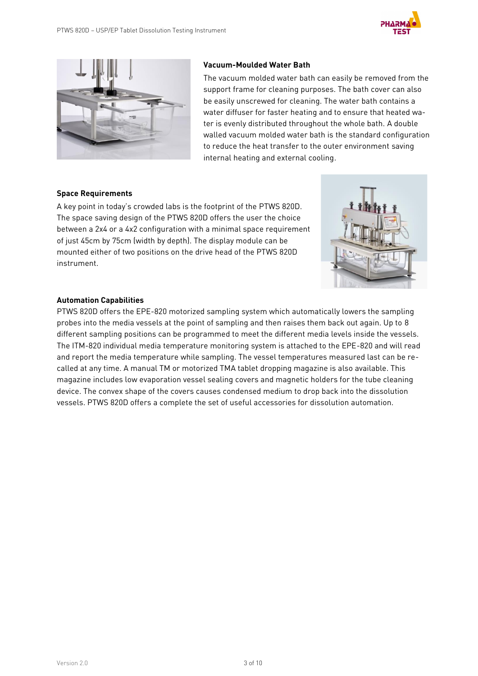

#### **Vacuum-Moulded Water Bath**

The vacuum molded water bath can easily be removed from the support frame for cleaning purposes. The bath cover can also be easily unscrewed for cleaning. The water bath contains a water diffuser for faster heating and to ensure that heated water is evenly distributed throughout the whole bath. A double walled vacuum molded water bath is the standard configuration to reduce the heat transfer to the outer environment saving internal heating and external cooling.

#### **Space Requirements**

A key point in today's crowded labs is the footprint of the PTWS 820D. The space saving design of the PTWS 820D offers the user the choice between a 2x4 or a 4x2 configuration with a minimal space requirement of just 45cm by 75cm (width by depth). The display module can be mounted either of two positions on the drive head of the PTWS 820D instrument.



#### **Automation Capabilities**

PTWS 820D offers the EPE-820 motorized sampling system which automatically lowers the sampling probes into the media vessels at the point of sampling and then raises them back out again. Up to 8 different sampling positions can be programmed to meet the different media levels inside the vessels. The ITM-820 individual media temperature monitoring system is attached to the EPE-820 and will read and report the media temperature while sampling. The vessel temperatures measured last can be recalled at any time. A manual TM or motorized TMA tablet dropping magazine is also available. This magazine includes low evaporation vessel sealing covers and magnetic holders for the tube cleaning device. The convex shape of the covers causes condensed medium to drop back into the dissolution vessels. PTWS 820D offers a complete the set of useful accessories for dissolution automation.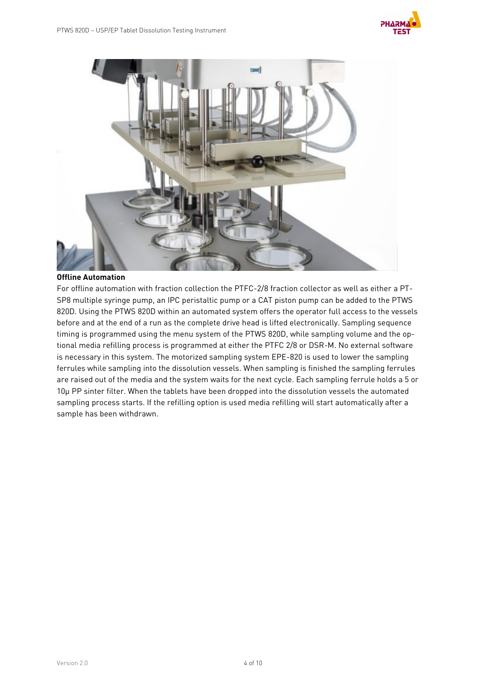



#### **Offline Automation**

For offline automation with fraction collection the PTFC-2/8 fraction collector as well as either a PT-SP8 multiple syringe pump, an IPC peristaltic pump or a CAT piston pump can be added to the PTWS 820D. Using the PTWS 820D within an automated system offers the operator full access to the vessels before and at the end of a run as the complete drive head is lifted electronically. Sampling sequence timing is programmed using the menu system of the PTWS 820D, while sampling volume and the optional media refilling process is programmed at either the PTFC 2/8 or DSR-M. No external software is necessary in this system. The motorized sampling system EPE-820 is used to lower the sampling ferrules while sampling into the dissolution vessels. When sampling is finished the sampling ferrules are raised out of the media and the system waits for the next cycle. Each sampling ferrule holds a 5 or 10µ PP sinter filter. When the tablets have been dropped into the dissolution vessels the automated sampling process starts. If the refilling option is used media refilling will start automatically after a sample has been withdrawn.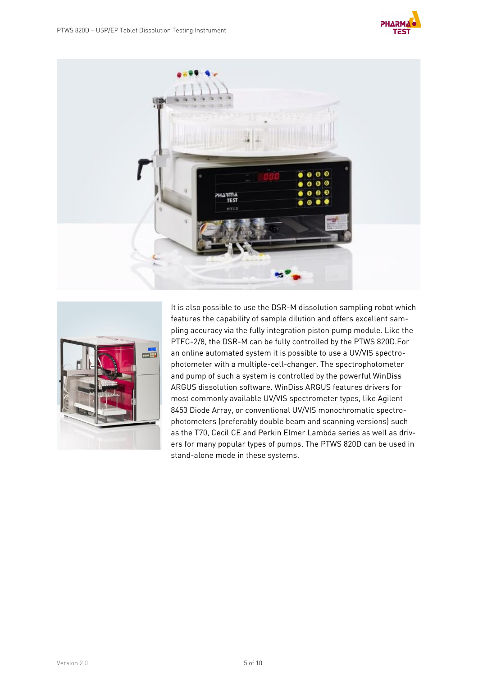





It is also possible to use the DSR-M dissolution sampling robot which features the capability of sample dilution and offers excellent sampling accuracy via the fully integration piston pump module. Like the PTFC-2/8, the DSR-M can be fully controlled by the PTWS 820D.For an online automated system it is possible to use a UV/VIS spectrophotometer with a multiple-cell-changer. The spectrophotometer and pump of such a system is controlled by the powerful WinDiss ARGUS dissolution software. WinDiss ARGUS features drivers for most commonly available UV/VIS spectrometer types, like Agilent 8453 Diode Array, or conventional UV/VIS monochromatic spectrophotometers (preferably double beam and scanning versions) such as the T70, Cecil CE and Perkin Elmer Lambda series as well as drivers for many popular types of pumps. The PTWS 820D can be used in stand-alone mode in these systems.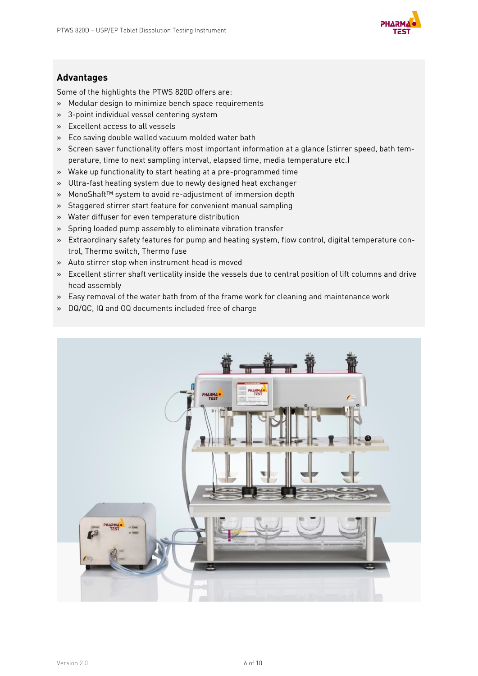

### **Advantages**

Some of the highlights the PTWS 820D offers are:

- » Modular design to minimize bench space requirements
- » 3-point individual vessel centering system
- » Excellent access to all vessels
- » Eco saving double walled vacuum molded water bath
- » Screen saver functionality offers most important information at a glance (stirrer speed, bath temperature, time to next sampling interval, elapsed time, media temperature etc.)
- » Wake up functionality to start heating at a pre-programmed time
- » Ultra-fast heating system due to newly designed heat exchanger
- » MonoShaft™ system to avoid re-adjustment of immersion depth
- » Staggered stirrer start feature for convenient manual sampling
- » Water diffuser for even temperature distribution
- » Spring loaded pump assembly to eliminate vibration transfer
- » Extraordinary safety features for pump and heating system, flow control, digital temperature control, Thermo switch, Thermo fuse
- » Auto stirrer stop when instrument head is moved
- » Excellent stirrer shaft verticality inside the vessels due to central position of lift columns and drive head assembly
- » Easy removal of the water bath from of the frame work for cleaning and maintenance work
- » DQ/QC, IQ and OQ documents included free of charge

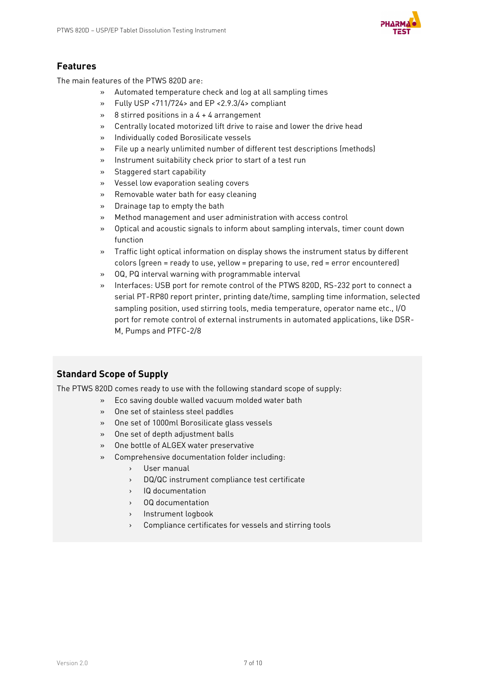

### **Features**

The main features of the PTWS 820D are:

- » Automated temperature check and log at all sampling times
- » Fully USP <711/724> and EP <2.9.3/4> compliant
- » 8 stirred positions in a 4 + 4 arrangement
- » Centrally located motorized lift drive to raise and lower the drive head
- » Individually coded Borosilicate vessels
- » File up a nearly unlimited number of different test descriptions (methods)
- » Instrument suitability check prior to start of a test run
- » Staggered start capability
- » Vessel low evaporation sealing covers
- » Removable water bath for easy cleaning
- » Drainage tap to empty the bath
- » Method management and user administration with access control
- » Optical and acoustic signals to inform about sampling intervals, timer count down function
- » Traffic light optical information on display shows the instrument status by different colors (green = ready to use, yellow = preparing to use, red = error encountered)
- » OQ, PQ interval warning with programmable interval
- » Interfaces: USB port for remote control of the PTWS 820D, RS-232 port to connect a serial PT-RP80 report printer, printing date/time, sampling time information, selected sampling position, used stirring tools, media temperature, operator name etc., I/O port for remote control of external instruments in automated applications, like DSR-M, Pumps and PTFC-2/8

### **Standard Scope of Supply**

The PTWS 820D comes ready to use with the following standard scope of supply:

- » Eco saving double walled vacuum molded water bath
- » One set of stainless steel paddles
- » One set of 1000ml Borosilicate glass vessels
- » One set of depth adjustment balls
- » One bottle of ALGEX water preservative
- » Comprehensive documentation folder including:
	- › User manual
	- › DQ/QC instrument compliance test certificate
	- › IQ documentation
	- › OQ documentation
	- › Instrument logbook
	- › Compliance certificates for vessels and stirring tools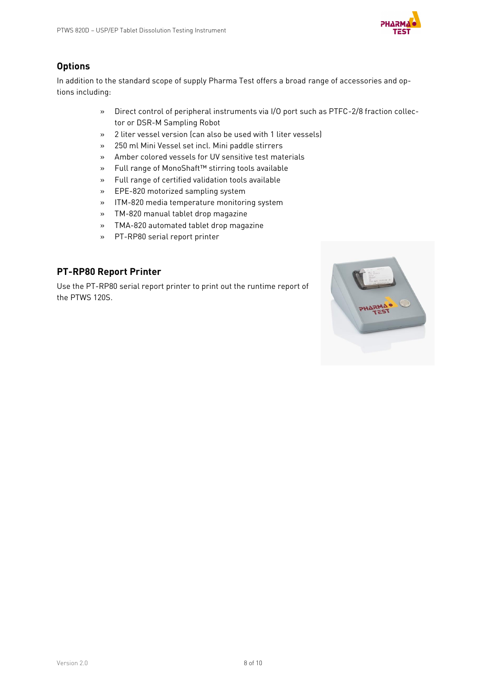

# **Options**

In addition to the standard scope of supply Pharma Test offers a broad range of accessories and options including:

- » Direct control of peripheral instruments via I/O port such as PTFC-2/8 fraction collector or DSR-M Sampling Robot
- » 2 liter vessel version (can also be used with 1 liter vessels)
- » 250 ml Mini Vessel set incl. Mini paddle stirrers
- » Amber colored vessels for UV sensitive test materials
- » Full range of MonoShaft™ stirring tools available
- » Full range of certified validation tools available
- » EPE-820 motorized sampling system
- » ITM-820 media temperature monitoring system
- » TM-820 manual tablet drop magazine
- » TMA-820 automated tablet drop magazine
- » PT-RP80 serial report printer

### **PT-RP80 Report Printer**

Use the PT-RP80 serial report printer to print out the runtime report of the PTWS 120S.

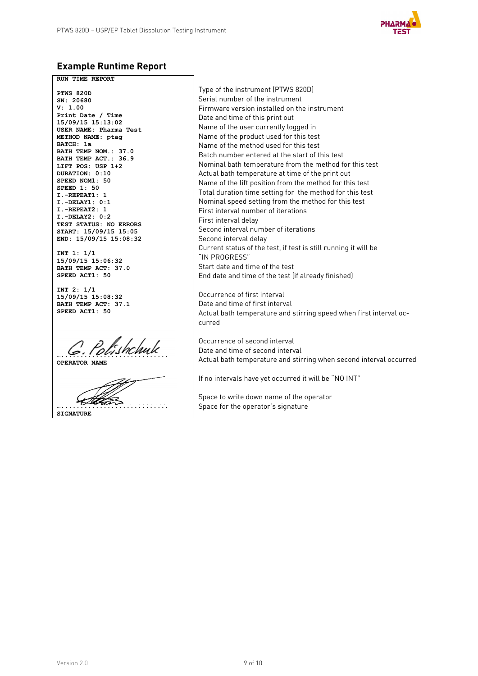

# **Example Runtime Report**

**RUN TIME REPORT PTWS 820D SN: 20680 V: 1.00 Print Date / Time 15/09/15 15:13:02 USER NAME: Pharma Test METHOD NAME: ptag BATCH: 1a BATH TEMP NOM.: 37.0 BATH TEMP ACT.: 36.9 LIFT POS: USP 1+2 DURATION: 0:10 SPEED NOM1: 50 SPEED 1: 50 I.-REPEAT1: 1 I.-DELAY1: 0:1 I.-REPEAT2: 1 I.-DELAY2: 0:2 TEST STATUS: NO ERRORS START: 15/09/15 15:05 END: 15/09/15 15:08:32 INT 1: 1/1 15/09/15 15:06:32 BATH TEMP ACT: 37.0**

**INT 2: 1/1 15/09/15 15:08:32 BATH TEMP ACT: 37.1 SPEED ACT1: 50**

**SPEED ACT1: 50**

**…............................ OPERATOR NAME**

**…............................**

**SIGNATURE**

Type of the instrument (PTWS 820D) Serial number of the instrument Firmware version installed on the instrument Date and time of this print out Name of the user currently logged in Name of the product used for this test Name of the method used for this test Batch number entered at the start of this test Nominal bath temperature from the method for this test Actual bath temperature at time of the print out Name of the lift position from the method for this test Total duration time setting for the method for this test Nominal speed setting from the method for this test First interval number of iterations First interval delay Second interval number of iterations Second interval delay Current status of the test, if test is still running it will be "IN PROGRESS" Start date and time of the test End date and time of the test (if already finished)

Occurrence of first interval Date and time of first interval Actual bath temperature and stirring speed when first interval occurred

Occurrence of second interval Date and time of second interval Actual bath temperature and stirring when second interval occurred

If no intervals have yet occurred it will be "NO INT"

Space to write down name of the operator Space for the operator's signature